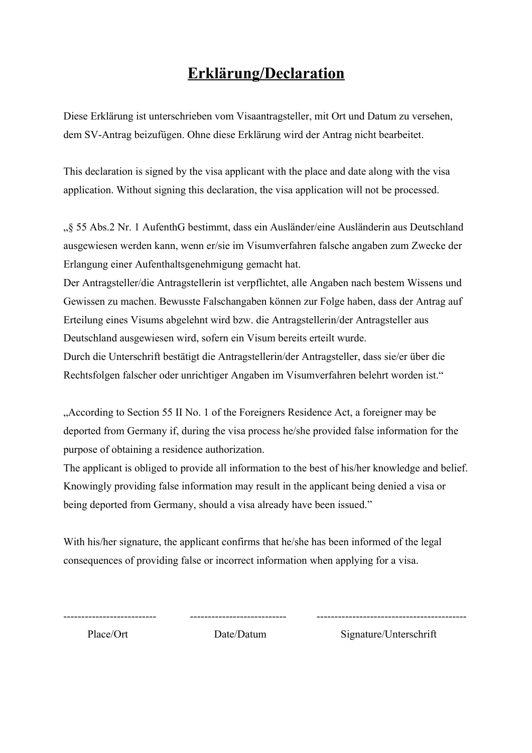## **Erklärung/Declaration**

Diese Erklärung ist unterschrieben vom Visaantragsteller, mit Ort und Datum zu versehen, dem SV-Antrag beizufügen. Ohne diese Erklärung wird der Antrag nicht bearbeitet.

This declaration is signed by the visa applicant with the place and date along with the visa application. Without signing this declaration, the visa application will not be processed.

"§ 55 Abs.2 Nr. 1 AufenthG bestimmt, dass ein Ausländer/eine Ausländerin aus Deutschland ausgewiesen werden kann, wenn er/sie im Visumverfahren falsche angaben zum Zwecke der Erlangung einer Aufenthaltsgenehmigung gemacht hat.

Der Antragsteller/die Antragstellerin ist verpflichtet, alle Angaben nach bestem Wissens und Gewissen zu machen. Bewusste Falschangaben können zur Folge haben, dass der Antrag auf Erteilung eines Visums abgelehnt wird bzw. die Antragstellerin/der Antragsteller aus Deutschland ausgewiesen wird, sofern ein Visum bereits erteilt wurde.

Durch die Unterschrift bestätigt die Antragstellerin/der Antragsteller, dass sie/er über die Rechtsfolgen falscher oder unrichtiger Angaben im Visumverfahren belehrt worden ist."

"According to Section 55 II No. 1 of the Foreigners Residence Act, a foreigner may be deported from Germany if, during the visa process he/she provided false information for the purpose of obtaining a residence authorization.

The applicant is obliged to provide all information to the best of his/her knowledge and belief. Knowingly providing false information may result in the applicant being denied a visa or being deported from Germany, should a visa already have been issued."

With his/her signature, the applicant confirms that he/she has been informed of the legal consequences of providing false or incorrect information when applying for a visa.

-------------------------- --------------------------- ------------------------------------------

Place/Ort Date/Datum Signature/Unterschrift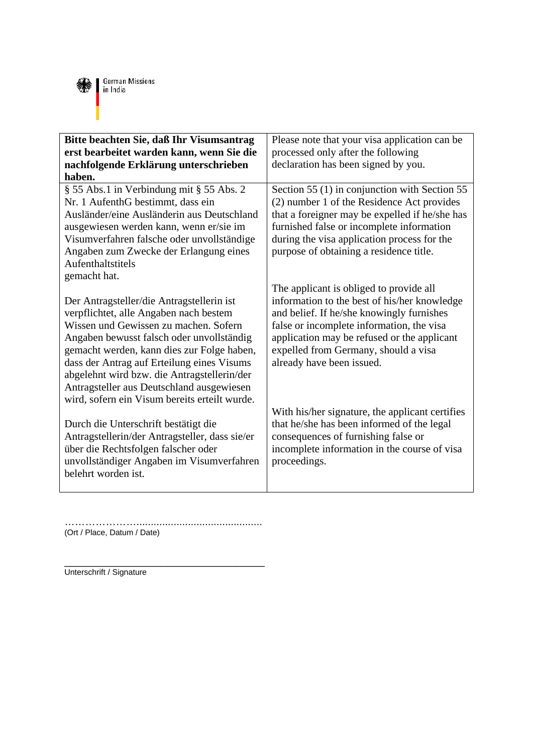

| Bitte beachten Sie, daß Ihr Visumsantrag<br>erst bearbeitet warden kann, wenn Sie die<br>nachfolgende Erklärung unterschrieben<br>haben.                                                                                                                                                                                                                                                                           | Please note that your visa application can be<br>processed only after the following<br>declaration has been signed by you.                                                                                                                                                                            |
|--------------------------------------------------------------------------------------------------------------------------------------------------------------------------------------------------------------------------------------------------------------------------------------------------------------------------------------------------------------------------------------------------------------------|-------------------------------------------------------------------------------------------------------------------------------------------------------------------------------------------------------------------------------------------------------------------------------------------------------|
| § 55 Abs.1 in Verbindung mit § 55 Abs. 2<br>Nr. 1 AufenthG bestimmt, dass ein<br>Ausländer/eine Ausländerin aus Deutschland<br>ausgewiesen werden kann, wenn er/sie im<br>Visumverfahren falsche oder unvollständige<br>Angaben zum Zwecke der Erlangung eines<br>Aufenthaltstitels<br>gemacht hat.                                                                                                                | Section 55 (1) in conjunction with Section 55<br>(2) number 1 of the Residence Act provides<br>that a foreigner may be expelled if he/she has<br>furnished false or incomplete information<br>during the visa application process for the<br>purpose of obtaining a residence title.                  |
| Der Antragsteller/die Antragstellerin ist<br>verpflichtet, alle Angaben nach bestem<br>Wissen und Gewissen zu machen. Sofern<br>Angaben bewusst falsch oder unvollständig<br>gemacht werden, kann dies zur Folge haben,<br>dass der Antrag auf Erteilung eines Visums<br>abgelehnt wird bzw. die Antragstellerin/der<br>Antragsteller aus Deutschland ausgewiesen<br>wird, sofern ein Visum bereits erteilt wurde. | The applicant is obliged to provide all<br>information to the best of his/her knowledge<br>and belief. If he/she knowingly furnishes<br>false or incomplete information, the visa<br>application may be refused or the applicant<br>expelled from Germany, should a visa<br>already have been issued. |
| Durch die Unterschrift bestätigt die<br>Antragstellerin/der Antragsteller, dass sie/er<br>über die Rechtsfolgen falscher oder<br>unvollständiger Angaben im Visumverfahren<br>belehrt worden ist.                                                                                                                                                                                                                  | With his/her signature, the applicant certifies<br>that he/she has been informed of the legal<br>consequences of furnishing false or<br>incomplete information in the course of visa<br>proceedings.                                                                                                  |

…………………............................................

(Ort / Place, Datum / Date)

\_\_\_\_\_\_\_\_\_\_\_\_\_\_\_\_\_\_\_\_\_\_\_\_\_\_\_\_\_\_\_\_\_\_\_ Unterschrift / Signature